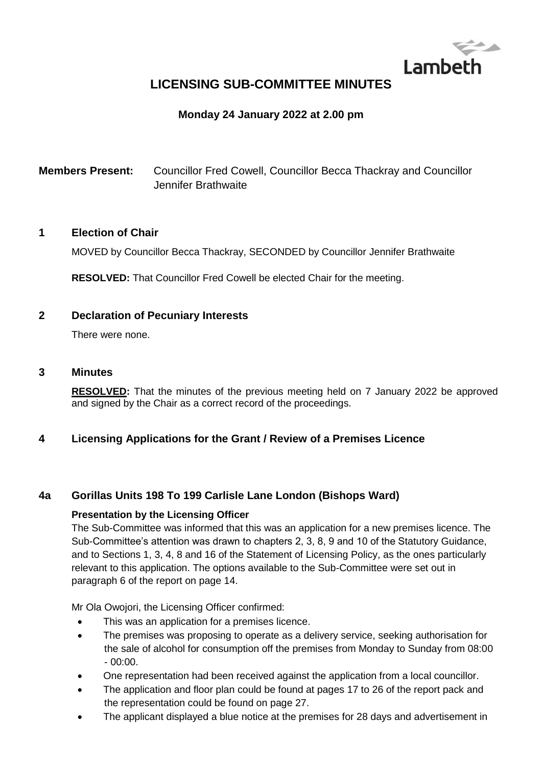

# **LICENSING SUB-COMMITTEE MINUTES**

# **Monday 24 January 2022 at 2.00 pm**

**Members Present:** Councillor Fred Cowell, Councillor Becca Thackray and Councillor Jennifer Brathwaite

#### **1 Election of Chair**

MOVED by Councillor Becca Thackray, SECONDED by Councillor Jennifer Brathwaite

**RESOLVED:** That Councillor Fred Cowell be elected Chair for the meeting.

### **2 Declaration of Pecuniary Interests**

There were none.

#### **3 Minutes**

**RESOLVED:** That the minutes of the previous meeting held on 7 January 2022 be approved and signed by the Chair as a correct record of the proceedings.

### **4 Licensing Applications for the Grant / Review of a Premises Licence**

### **4a Gorillas Units 198 To 199 Carlisle Lane London (Bishops Ward)**

#### **Presentation by the Licensing Officer**

The Sub-Committee was informed that this was an application for a new premises licence. The Sub-Committee's attention was drawn to chapters 2, 3, 8, 9 and 10 of the Statutory Guidance, and to Sections 1, 3, 4, 8 and 16 of the Statement of Licensing Policy, as the ones particularly relevant to this application. The options available to the Sub-Committee were set out in paragraph 6 of the report on page 14.

Mr Ola Owojori, the Licensing Officer confirmed:

- This was an application for a premises licence.
- The premises was proposing to operate as a delivery service, seeking authorisation for the sale of alcohol for consumption off the premises from Monday to Sunday from 08:00  $-00:00.$
- One representation had been received against the application from a local councillor.
- The application and floor plan could be found at pages 17 to 26 of the report pack and the representation could be found on page 27.
- The applicant displayed a blue notice at the premises for 28 days and advertisement in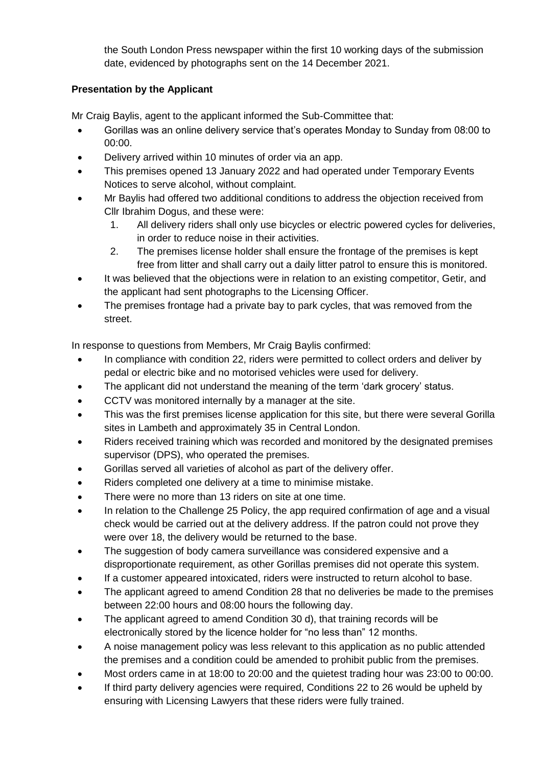the South London Press newspaper within the first 10 working days of the submission date, evidenced by photographs sent on the 14 December 2021.

# **Presentation by the Applicant**

Mr Craig Baylis, agent to the applicant informed the Sub-Committee that:

- Gorillas was an online delivery service that's operates Monday to Sunday from 08:00 to 00:00.
- Delivery arrived within 10 minutes of order via an app.
- This premises opened 13 January 2022 and had operated under Temporary Events Notices to serve alcohol, without complaint.
- Mr Baylis had offered two additional conditions to address the objection received from Cllr Ibrahim Dogus, and these were:
	- 1. All delivery riders shall only use bicycles or electric powered cycles for deliveries, in order to reduce noise in their activities.
	- 2. The premises license holder shall ensure the frontage of the premises is kept free from litter and shall carry out a daily litter patrol to ensure this is monitored.
- It was believed that the objections were in relation to an existing competitor, Getir, and the applicant had sent photographs to the Licensing Officer.
- The premises frontage had a private bay to park cycles, that was removed from the street.

In response to questions from Members, Mr Craig Baylis confirmed:

- In compliance with condition 22, riders were permitted to collect orders and deliver by pedal or electric bike and no motorised vehicles were used for delivery.
- The applicant did not understand the meaning of the term 'dark grocery' status.
- CCTV was monitored internally by a manager at the site.
- This was the first premises license application for this site, but there were several Gorilla sites in Lambeth and approximately 35 in Central London.
- Riders received training which was recorded and monitored by the designated premises supervisor (DPS), who operated the premises.
- Gorillas served all varieties of alcohol as part of the delivery offer.
- Riders completed one delivery at a time to minimise mistake.
- There were no more than 13 riders on site at one time.
- In relation to the Challenge 25 Policy, the app required confirmation of age and a visual check would be carried out at the delivery address. If the patron could not prove they were over 18, the delivery would be returned to the base.
- The suggestion of body camera surveillance was considered expensive and a disproportionate requirement, as other Gorillas premises did not operate this system.
- If a customer appeared intoxicated, riders were instructed to return alcohol to base.
- The applicant agreed to amend Condition 28 that no deliveries be made to the premises between 22:00 hours and 08:00 hours the following day.
- The applicant agreed to amend Condition 30 d), that training records will be electronically stored by the licence holder for "no less than" 12 months.
- A noise management policy was less relevant to this application as no public attended the premises and a condition could be amended to prohibit public from the premises.
- Most orders came in at 18:00 to 20:00 and the quietest trading hour was 23:00 to 00:00.
- If third party delivery agencies were required, Conditions 22 to 26 would be upheld by ensuring with Licensing Lawyers that these riders were fully trained.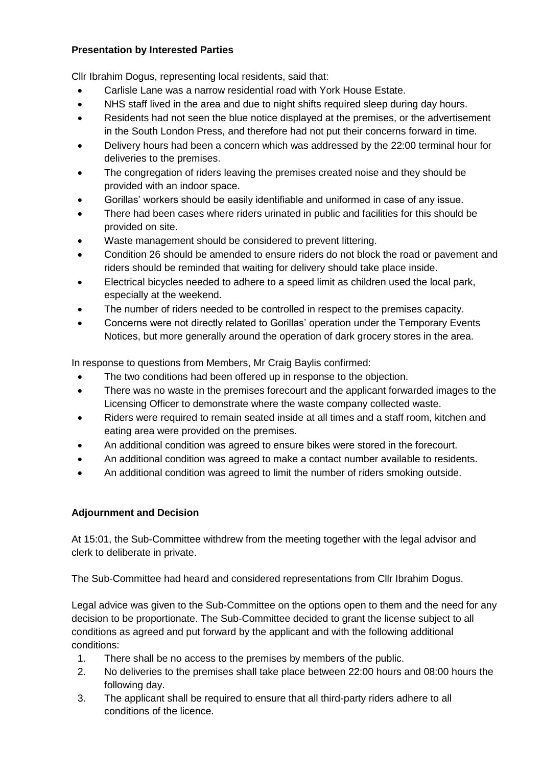# **Presentation by Interested Parties**

Cllr Ibrahim Dogus, representing local residents, said that:

- Carlisle Lane was a narrow residential road with York House Estate.
- NHS staff lived in the area and due to night shifts required sleep during day hours.
- Residents had not seen the blue notice displayed at the premises, or the advertisement in the South London Press, and therefore had not put their concerns forward in time.
- Delivery hours had been a concern which was addressed by the 22:00 terminal hour for deliveries to the premises.
- The congregation of riders leaving the premises created noise and they should be provided with an indoor space.
- Gorillas' workers should be easily identifiable and uniformed in case of any issue.
- There had been cases where riders urinated in public and facilities for this should be provided on site.
- Waste management should be considered to prevent littering.
- Condition 26 should be amended to ensure riders do not block the road or pavement and riders should be reminded that waiting for delivery should take place inside.
- Electrical bicycles needed to adhere to a speed limit as children used the local park, especially at the weekend.
- The number of riders needed to be controlled in respect to the premises capacity.
- Concerns were not directly related to Gorillas' operation under the Temporary Events Notices, but more generally around the operation of dark grocery stores in the area.

In response to questions from Members, Mr Craig Baylis confirmed:

- The two conditions had been offered up in response to the objection.
- There was no waste in the premises forecourt and the applicant forwarded images to the Licensing Officer to demonstrate where the waste company collected waste.
- Riders were required to remain seated inside at all times and a staff room, kitchen and eating area were provided on the premises.
- An additional condition was agreed to ensure bikes were stored in the forecourt.
- An additional condition was agreed to make a contact number available to residents.
- An additional condition was agreed to limit the number of riders smoking outside.

# **Adjournment and Decision**

At 15:01, the Sub-Committee withdrew from the meeting together with the legal advisor and clerk to deliberate in private.

The Sub-Committee had heard and considered representations from Cllr Ibrahim Dogus.

Legal advice was given to the Sub-Committee on the options open to them and the need for any decision to be proportionate. The Sub-Committee decided to grant the license subject to all conditions as agreed and put forward by the applicant and with the following additional conditions:

- 1. There shall be no access to the premises by members of the public.
- 2. No deliveries to the premises shall take place between 22:00 hours and 08:00 hours the following day.
- 3. The applicant shall be required to ensure that all third-party riders adhere to all conditions of the licence.